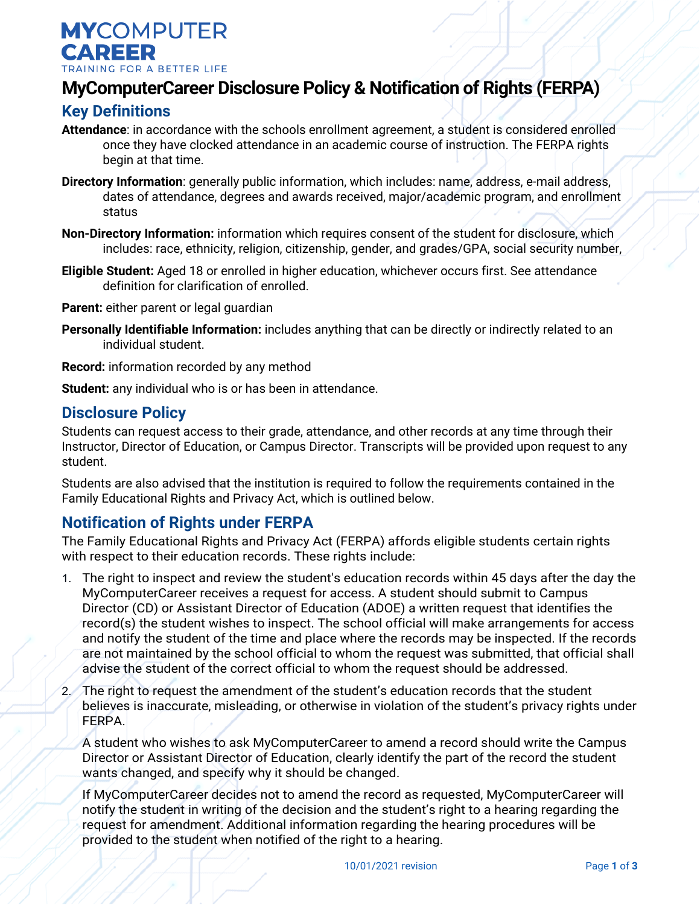**MYCOMPUTER CAREER** TRAINING FOR A BETTER LIFE

## **MyComputerCareer Disclosure Policy & Notification of Rights (FERPA)**

## **Key Definitions**

- **Attendance**: in accordance with the schools enrollment agreement, a student is considered enrolled once they have clocked attendance in an academic course of instruction. The FERPA rights begin at that time.
- **Directory Information**: generally public information, which includes: name, address, e-mail address, dates of attendance, degrees and awards received, major/academic program, and enrollment status
- **Non-Directory Information:** information which requires consent of the student for disclosure, which includes: race, ethnicity, religion, citizenship, gender, and grades/GPA, social security number,
- **Eligible Student:** Aged 18 or enrolled in higher education, whichever occurs first. See attendance definition for clarification of enrolled.

**Parent:** either parent or legal guardian

**Personally Identifiable Information:** includes anything that can be directly or indirectly related to an individual student.

**Record:** information recorded by any method

**Student:** any individual who is or has been in attendance.

## **Disclosure Policy**

Students can request access to their grade, attendance, and other records at any time through their Instructor, Director of Education, or Campus Director. Transcripts will be provided upon request to any student.

Students are also advised that the institution is required to follow the requirements contained in the Family Educational Rights and Privacy Act, which is outlined below.

## **Notification of Rights under FERPA**

The Family Educational Rights and Privacy Act (FERPA) affords eligible students certain rights with respect to their education records. These rights include:

- 1. The right to inspect and review the student's education records within 45 days after the day the MyComputerCareer receives a request for access. A student should submit to Campus Director (CD) or Assistant Director of Education (ADOE) a written request that identifies the record(s) the student wishes to inspect. The school official will make arrangements for access and notify the student of the time and place where the records may be inspected. If the records are not maintained by the school official to whom the request was submitted, that official shall advise the student of the correct official to whom the request should be addressed.
- 2. The right to request the amendment of the student's education records that the student believes is inaccurate, misleading, or otherwise in violation of the student's privacy rights under FERPA.

A student who wishes to ask MyComputerCareer to amend a record should write the Campus Director or Assistant Director of Education, clearly identify the part of the record the student wants changed, and specify why it should be changed.

If MyComputerCareer decides not to amend the record as requested, MyComputerCareer will notify the student in writing of the decision and the student's right to a hearing regarding the request for amendment. Additional information regarding the hearing procedures will be provided to the student when notified of the right to a hearing.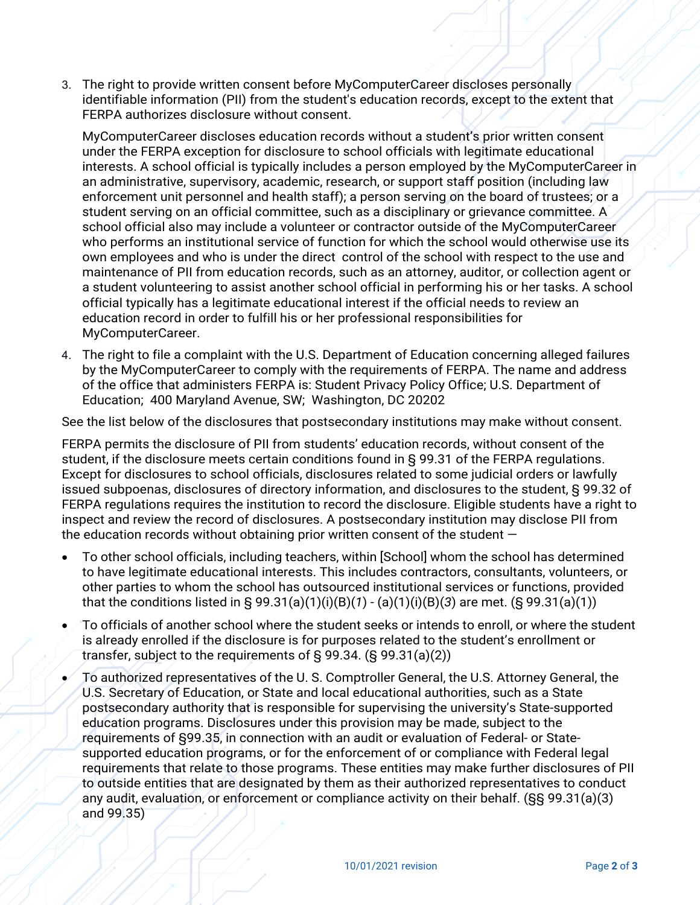3. The right to provide written consent before MyComputerCareer discloses personally identifiable information (PII) from the student's education records, except to the extent that FERPA authorizes disclosure without consent.

MyComputerCareer discloses education records without a student's prior written consent under the FERPA exception for disclosure to school officials with legitimate educational interests. A school official is typically includes a person employed by the MyComputerCareer in an administrative, supervisory, academic, research, or support staff position (including law enforcement unit personnel and health staff); a person serving on the board of trustees; or a student serving on an official committee, such as a disciplinary or grievance committee. A school official also may include a volunteer or contractor outside of the MyComputerCareer who performs an institutional service of function for which the school would otherwise use its own employees and who is under the direct control of the school with respect to the use and maintenance of PII from education records, such as an attorney, auditor, or collection agent or a student volunteering to assist another school official in performing his or her tasks. A school official typically has a legitimate educational interest if the official needs to review an education record in order to fulfill his or her professional responsibilities for MyComputerCareer.

4. The right to file a complaint with the U.S. Department of Education concerning alleged failures by the MyComputerCareer to comply with the requirements of FERPA. The name and address of the office that administers FERPA is: Student Privacy Policy Office; U.S. Department of Education; 400 Maryland Avenue, SW; Washington, DC 20202

See the list below of the disclosures that postsecondary institutions may make without consent.

FERPA permits the disclosure of PII from students' education records, without consent of the student, if the disclosure meets certain conditions found in § 99.31 of the FERPA regulations. Except for disclosures to school officials, disclosures related to some judicial orders or lawfully issued subpoenas, disclosures of directory information, and disclosures to the student, § 99.32 of FERPA regulations requires the institution to record the disclosure. Eligible students have a right to inspect and review the record of disclosures. A postsecondary institution may disclose PII from the education records without obtaining prior written consent of the student  $-$ 

- To other school officials, including teachers, within [School] whom the school has determined to have legitimate educational interests. This includes contractors, consultants, volunteers, or other parties to whom the school has outsourced institutional services or functions, provided that the conditions listed in § 99.31(a)(1)(i)(B)(*1*) - (a)(1)(i)(B)(*3*) are met. (§ 99.31(a)(1))
- To officials of another school where the student seeks or intends to enroll, or where the student is already enrolled if the disclosure is for purposes related to the student's enrollment or transfer, subject to the requirements of § 99.34. (§ 99.31(a)(2))
- To authorized representatives of the U. S. Comptroller General, the U.S. Attorney General, the U.S. Secretary of Education, or State and local educational authorities, such as a State postsecondary authority that is responsible for supervising the university's State-supported education programs. Disclosures under this provision may be made, subject to the requirements of §99.35, in connection with an audit or evaluation of Federal- or Statesupported education programs, or for the enforcement of or compliance with Federal legal requirements that relate to those programs. These entities may make further disclosures of PII to outside entities that are designated by them as their authorized representatives to conduct any audit, evaluation, or enforcement or compliance activity on their behalf. (§§ 99.31(a)(3) and 99.35)